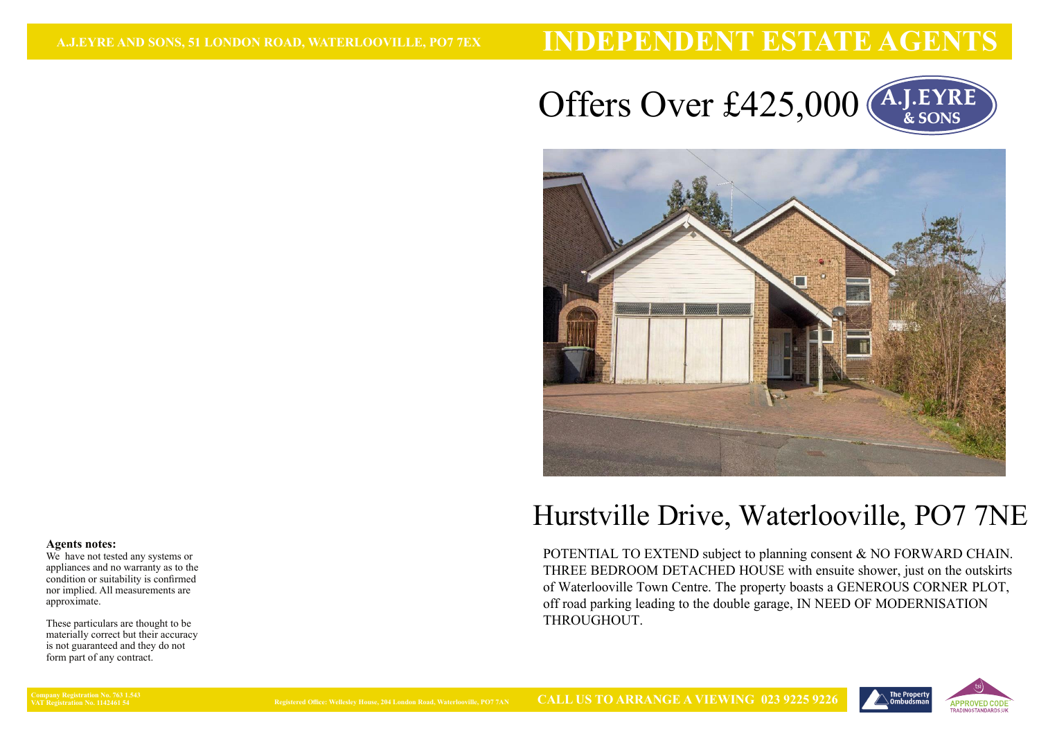# **INDEPENDENT ESTATE AGENTS**





# Hurstville Drive, Waterlooville, PO7 7NE

 POTENTIAL TO EXTEND subject to planning consent & NO FORWARD CHAIN. THREE BEDROOM DETACHED HOUSE with ensuite shower, just on the outskirts of Waterlooville Town Centre. The property boasts a GENEROUS CORNER PLOT, off road parking leading to the double garage, IN NEED OF MODERNISATION THROUGHOUT.



#### **Agents notes:**

 We have not tested any systems or appliances and no warranty as to the condition or suitability is confirmed nor implied. All measurements areapproximate.

These particulars are thought to be materially correct but their accuracyis not guaranteed and they do notform part of any contract.